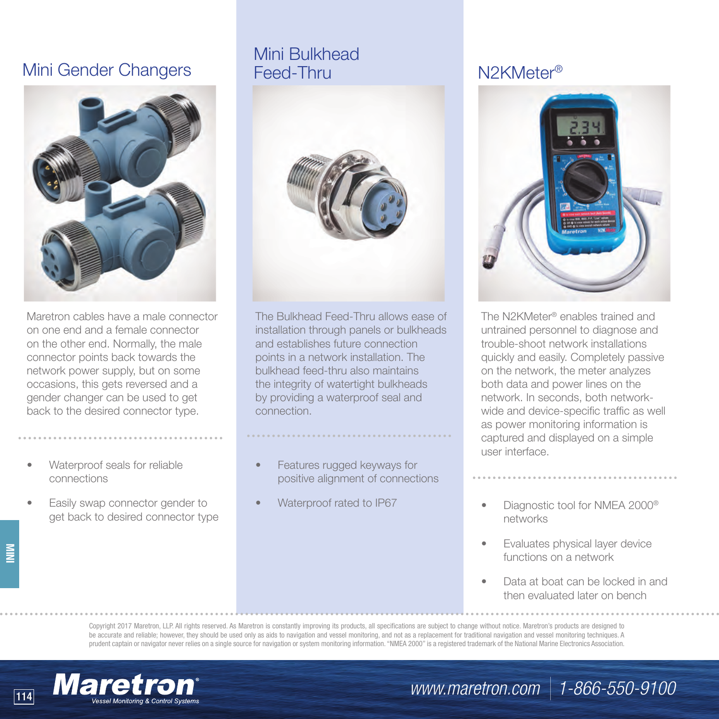## Mini Gender Changers Feed-Thru



Maretron cables have a male connector on one end and a female connector on the other end. Normally, the male connector points back towards the network power supply, but on some occasions, this gets reversed and a gender changer can be used to get back to the desired connector type.

- Waterproof seals for reliable connections
- Easily swap connector gender to get back to desired connector type

# Mini Bulkhead



The Bulkhead Feed-Thru allows ease of installation through panels or bulkheads and establishes future connection points in a network installation. The bulkhead feed-thru also maintains the integrity of watertight bulkheads by providing a waterproof seal and connection.

- Features rugged keyways for positive alignment of connections
- Waterproof rated to IP67

## N2KMeter®



The N2KMeter® enables trained and untrained personnel to diagnose and trouble-shoot network installations quickly and easily. Completely passive on the network, the meter analyzes both data and power lines on the network. In seconds, both networkwide and device-specific traffic as well as power monitoring information is captured and displayed on a simple user interface.

- Diagnostic tool for NMEA 2000® networks
- Evaluates physical layer device functions on a network
- Data at boat can be locked in and then evaluated later on bench

Copyright 2017 Maretron, LLP. All rights reserved. As Maretron is constantly improving its products, all specifications are subject to change without notice. Maretron's products are designed to be accurate and reliable; however, they should be used only as aids to navigation and vessel monitoring, and not as a replacement for traditional navigation and vessel monitoring techniques. A prudent captain or navigator never relies on a single source for navigation or system monitoring information. "NMEA 2000" is a registered trademark of the National Marine Electronics Association.